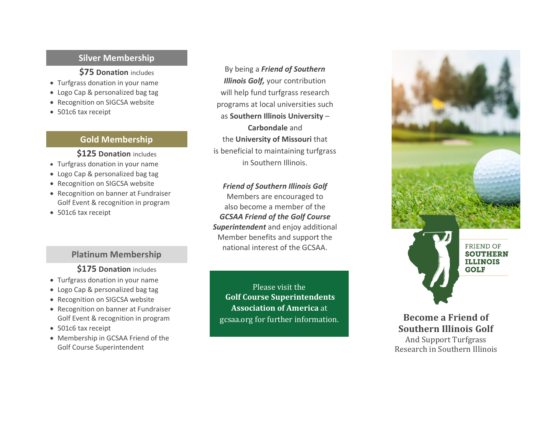#### **Silver Membership**

**\$75 Donation** includes

- Turfgrass donation in your name
- Logo Cap & personalized bag tag
- Recognition on SIGCSA website
- 501c6 tax receipt

#### **Gold Membership**

#### **\$125 Donation** includes

- Turfgrass donation in your name
- Logo Cap & personalized bag tag
- Recognition on SIGCSA website
- Recognition on banner at Fundraiser Golf Event & recognition in program
- 501c6 tax receipt

#### **Platinum Membership**

#### **\$175 Donation** includes

- Turfgrass donation in your name
- Logo Cap & personalized bag tag
- Recognition on SIGCSA website
- Recognition on banner at Fundraiser Golf Event & recognition in program
- 501c6 tax receipt
- Membership in GCSAA Friend of the Golf Course Superintendent

By being a *Friend of Southern Illinois Golf,* your contribution will help fund turfgrass research programs at local universities such as **Southern Illinois University** – **Carbondale** and the **University of Missouri** that is beneficial to maintaining turfgrass in Southern Illinois .

*Friend of Southern Illinois Golf* Members are encouraged to also become a member of the *GCSAA Friend of the Golf Course Superintendent* and enjoy additional Member benefits and support the national interest of the GCSAA .

Please visit the **Golf Course Superintendents Association of America** at <gcsaa.org> for further information.

 $\overline{\phantom{a}}$ 





**Become a Friend of Southern Illinois Golf** And Support Turfgrass Research in Southern Illinois